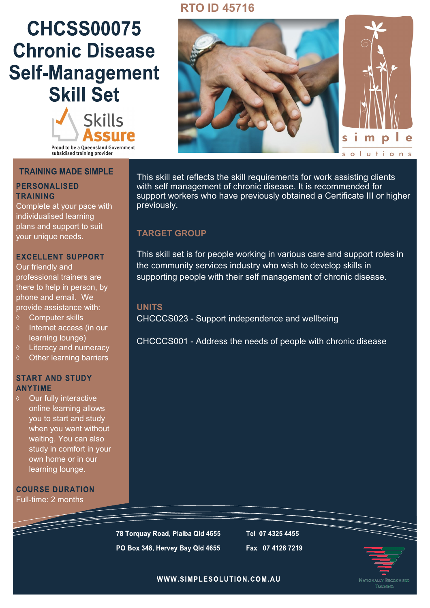# **RTO ID 45716**

# **CHCSS00075 Chronic Disease Self-Management Skill Set**



**TRAINING MADE SIMPLE** 

## **PERSONALISED TRAINING**

Complete at your pace with individualised learning plans and support to suit your unique needs.

## **EXCELLENT SUPPORT**

Our friendly and professional trainers are there to help in person, by phone and email. We provide assistance with:

- Computer skills
- $\Diamond$  Internet access (in our learning lounge)
- Literacy and numeracy
- $\diamond$  Other learning barriers

#### **START AND STUDY ANYTIME**

Our fully interactive online learning allows you to start and study when you want without waiting. You can also study in comfort in your own home or in our learning lounge.

**COURSE DURATION** Full-time: 2 months



This skill set reflects the skill requirements for work assisting clients with self management of chronic disease. It is recommended for support workers who have previously obtained a Certificate III or higher previously.

## **TARGET GROUP**

This skill set is for people working in various care and support roles in the community services industry who wish to develop skills in supporting people with their self management of chronic disease.

**UNITS** CHCCCS023 - Support independence and wellbeing

CHCCCS001 - Address the needs of people with chronic disease

78 Torquay Road, Pialba Qld 4655 PO Box 348, Hervey Bay Qld 4655 Tel 07 4325 4455 Fax 07 4128 7219



WWW.SIMPLESOLUTION.COM.AU